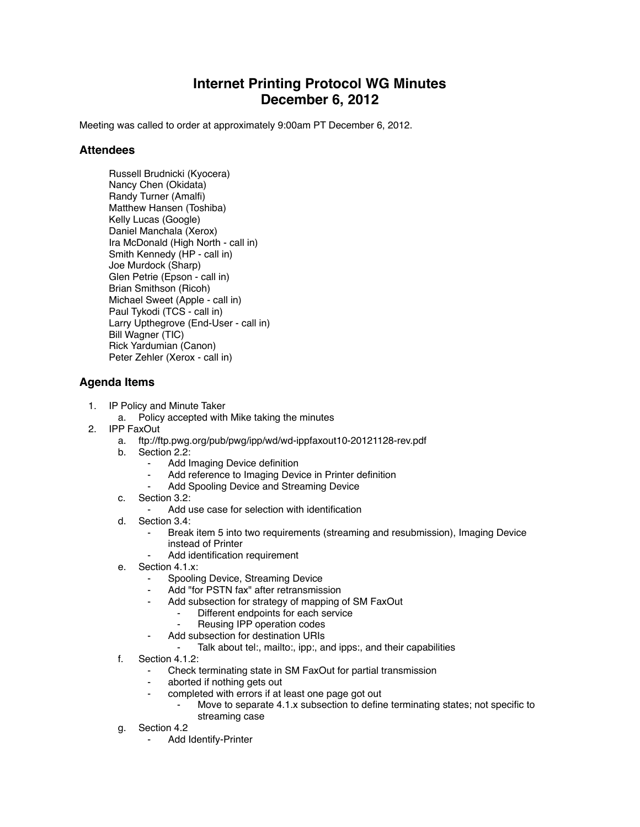## **Internet Printing Protocol WG Minutes December 6, 2012**

Meeting was called to order at approximately 9:00am PT December 6, 2012.

## **Attendees**

Russell Brudnicki (Kyocera) Nancy Chen (Okidata) Randy Turner (Amalfi) Matthew Hansen (Toshiba) Kelly Lucas (Google) Daniel Manchala (Xerox) Ira McDonald (High North - call in) Smith Kennedy (HP - call in) Joe Murdock (Sharp) Glen Petrie (Epson - call in) Brian Smithson (Ricoh) Michael Sweet (Apple - call in) Paul Tykodi (TCS - call in) Larry Upthegrove (End-User - call in) Bill Wagner (TIC) Rick Yardumian (Canon) Peter Zehler (Xerox - call in)

## **Agenda Items**

- 1. IP Policy and Minute Taker
	- a. Policy accepted with Mike taking the minutes
- 2. IPP FaxOut
	- a. ftp://ftp.pwg.org/pub/pwg/ipp/wd/wd-ippfaxout10-20121128-rev.pdf
	- b. Section 2.2:
		- Add Imaging Device definition
		- ⁃ Add reference to Imaging Device in Printer definition
			- Add Spooling Device and Streaming Device
	- c. Section 3.2:
		- Add use case for selection with identification
	- d. Section 3.4:
		- ⁃ Break item 5 into two requirements (streaming and resubmission), Imaging Device instead of Printer
		- Add identification requirement
	- e. Section 4.1.x:
		- Spooling Device, Streaming Device
		- Add "for PSTN fax" after retransmission
			- Add subsection for strategy of mapping of SM FaxOut
				- Different endpoints for each service
					- ⁃ Reusing IPP operation codes
		- ⁃ Add subsection for destination URIs
			- ⁃ Talk about tel:, mailto:, ipp:, and ipps:, and their capabilities
	- f. Section 4.1.2:
		- Check terminating state in SM FaxOut for partial transmission
		- aborted if nothing gets out
		- ⁃ completed with errors if at least one page got out
			- Move to separate 4.1.x subsection to define terminating states; not specific to streaming case
	- g. Section 4.2
		- ⁃ Add Identify-Printer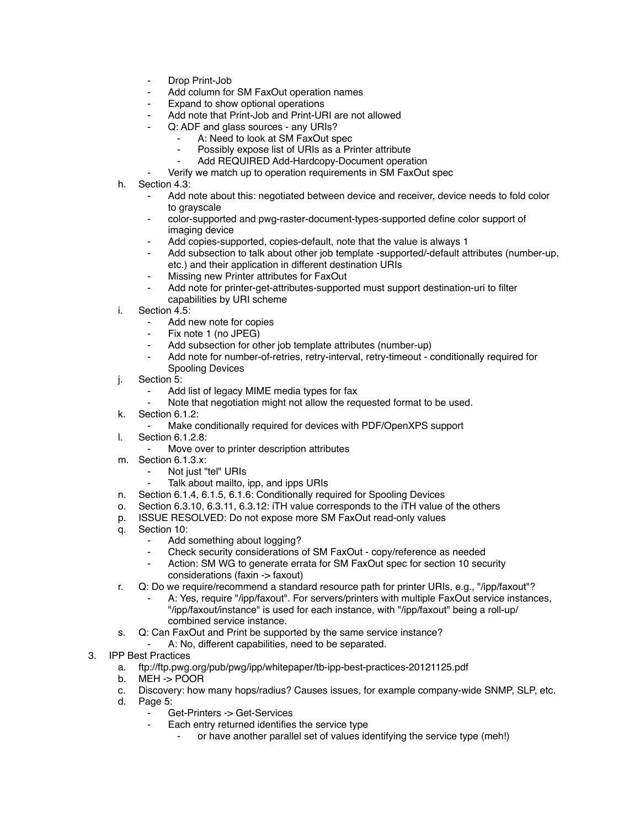- Drop Print-Job
- Add column for SM FaxOut operation names
- Expand to show optional operations
- Add note that Print-Job and Print-URI are not allowed
- Q: ADF and glass sources any URIs?
	- A: Need to look at SM FaxOut spec
	- Possibly expose list of URIs as a Printer attribute
	- Add REQUIRED Add-Hardcopy-Document operation
	- Verify we match up to operation requirements in SM FaxOut spec
- h. Section 4.3:
	- Add note about this: negotiated between device and receiver, device needs to fold color to grayscale
	- color-supported and pwg-raster-document-types-supported define color support of imaging device
	- Add copies-supported, copies-default, note that the value is always 1
	- Add subsection to talk about other job template -supported/-default attributes (number-up, etc.) and their application in different destination URIs
	- ⁃ Missing new Printer attributes for FaxOut
	- Add note for printer-get-attributes-supported must support destination-uri to filter capabilities by URI scheme
- i. Section 4.5:
	- Add new note for copies
	- Fix note 1 (no JPEG)
	- Add subsection for other job template attributes (number-up)
	- Add note for number-of-retries, retry-interval, retry-timeout conditionally required for Spooling Devices
- j. Section 5:
	- Add list of legacy MIME media types for fax
	- Note that negotiation might not allow the requested format to be used.
- k. Section 6.1.2:
	- Make conditionally required for devices with PDF/OpenXPS support
- l. Section 6.1.2.8:
	- Move over to printer description attributes
- m. Section 6.1.3.x:
	- Not just "tel" URIs
	- Talk about mailto, ipp, and ipps URIs
- n. Section 6.1.4, 6.1.5, 6.1.6: Conditionally required for Spooling Devices
- o. Section 6.3.10, 6.3.11, 6.3.12: iTH value corresponds to the iTH value of the others
- p. ISSUE RESOLVED: Do not expose more SM FaxOut read-only values
- q. Section 10:
	- Add something about logging?
	- ⁃ Check security considerations of SM FaxOut copy/reference as needed
	- Action: SM WG to generate errata for SM FaxOut spec for section 10 security considerations (faxin -> faxout)
- r. Q: Do we require/recommend a standard resource path for printer URIs, e.g., "/ipp/faxout"?
	- A: Yes, require "/ipp/faxout". For servers/printers with multiple FaxOut service instances, "/ipp/faxout/instance" is used for each instance, with "/ipp/faxout" being a roll-up/ combined service instance.
- s. Q: Can FaxOut and Print be supported by the same service instance?
	- A: No, different capabilities, need to be separated.
- 3. IPP Best Practices
	- a. ftp://ftp.pwg.org/pub/pwg/ipp/whitepaper/tb-ipp-best-practices-20121125.pdf
	- b. MEH -> POOR
	- c. Discovery: how many hops/radius? Causes issues, for example company-wide SNMP, SLP, etc.
	- d. Page 5:
		- ⁃ Get-Printers -> Get-Services
		- Each entry returned identifies the service type
			- or have another parallel set of values identifying the service type (meh!)